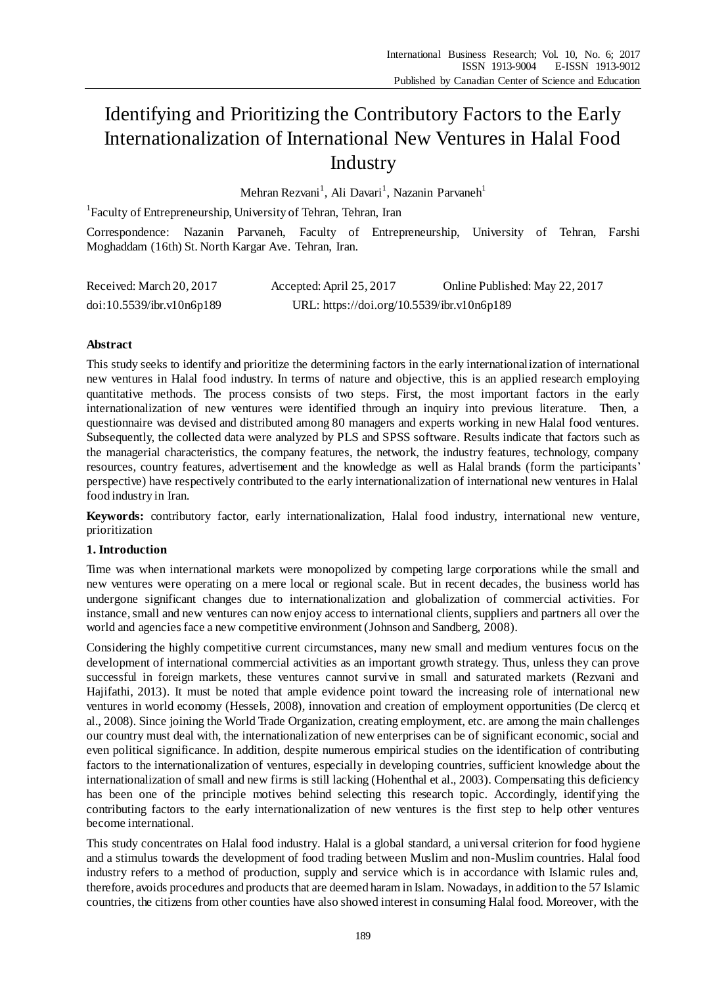# Identifying and Prioritizing the Contributory Factors to the Early Internationalization of International New Ventures in Halal Food Industry

Mehran Rezvani<sup>1</sup>, Ali Davari<sup>1</sup>, Nazanin Parvaneh<sup>1</sup>

<sup>1</sup> Faculty of Entrepreneurship, University of Tehran, Tehran, Iran

Correspondence: Nazanin Parvaneh, Faculty of Entrepreneurship, University of Tehran, Farshi Moghaddam (16th) St. North Kargar Ave. Tehran, Iran.

| Received: March 20, 2017  | Accepted: April 25, 2017                   | Online Published: May 22, 2017 |
|---------------------------|--------------------------------------------|--------------------------------|
| doi:10.5539/ibr.v10n6p189 | URL: https://doi.org/10.5539/ibr.v10n6p189 |                                |

# **Abstract**

This study seeks to identify and prioritize the determining factors in the early internationalization of international new ventures in Halal food industry. In terms of nature and objective, this is an applied research employing quantitative methods. The process consists of two steps. First, the most important factors in the early internationalization of new ventures were identified through an inquiry into previous literature. Then, a questionnaire was devised and distributed among 80 managers and experts working in new Halal food ventures. Subsequently, the collected data were analyzed by PLS and SPSS software. Results indicate that factors such as the managerial characteristics, the company features, the network, the industry features, technology, company resources, country features, advertisement and the knowledge as well as Halal brands (form the participants' perspective) have respectively contributed to the early internationalization of international new ventures in Halal food industry in Iran.

**Keywords:** contributory factor, early internationalization, Halal food industry, international new venture, prioritization

# **1. Introduction**

Time was when international markets were monopolized by competing large corporations while the small and new ventures were operating on a mere local or regional scale. But in recent decades, the business world has undergone significant changes due to internationalization and globalization of commercial activities. For instance, small and new ventures can now enjoy access to international clients, suppliers and partners all over the world and agencies face a new competitive environment (Johnson and Sandberg, 2008).

Considering the highly competitive current circumstances, many new small and medium ventures focus on the development of international commercial activities as an important growth strategy. Thus, unless they can prove successful in foreign markets, these ventures cannot survive in small and saturated markets (Rezvani and Hajifathi, 2013). It must be noted that ample evidence point toward the increasing role of international new ventures in world economy (Hessels, 2008), innovation and creation of employment opportunities (De clercq et al., 2008). Since joining the World Trade Organization, creating employment, etc. are among the main challenges our country must deal with, the internationalization of new enterprises can be of significant economic, social and even political significance. In addition, despite numerous empirical studies on the identification of contributing factors to the internationalization of ventures, especially in developing countries, sufficient knowledge about the internationalization of small and new firms is still lacking (Hohenthal et al., 2003). Compensating this deficiency has been one of the principle motives behind selecting this research topic. Accordingly, identifying the contributing factors to the early internationalization of new ventures is the first step to help other ventures become international.

This study concentrates on Halal food industry. Halal is a global standard, a universal criterion for food hygiene and a stimulus towards the development of food trading between Muslim and non-Muslim countries. Halal food industry refers to a method of production, supply and service which is in accordance with Islamic rules and, therefore, avoids procedures and products that are deemed haram in Islam. Nowadays, in addition to the 57 Islamic countries, the citizens from other counties have also showed interest in consuming Halal food. Moreover, with the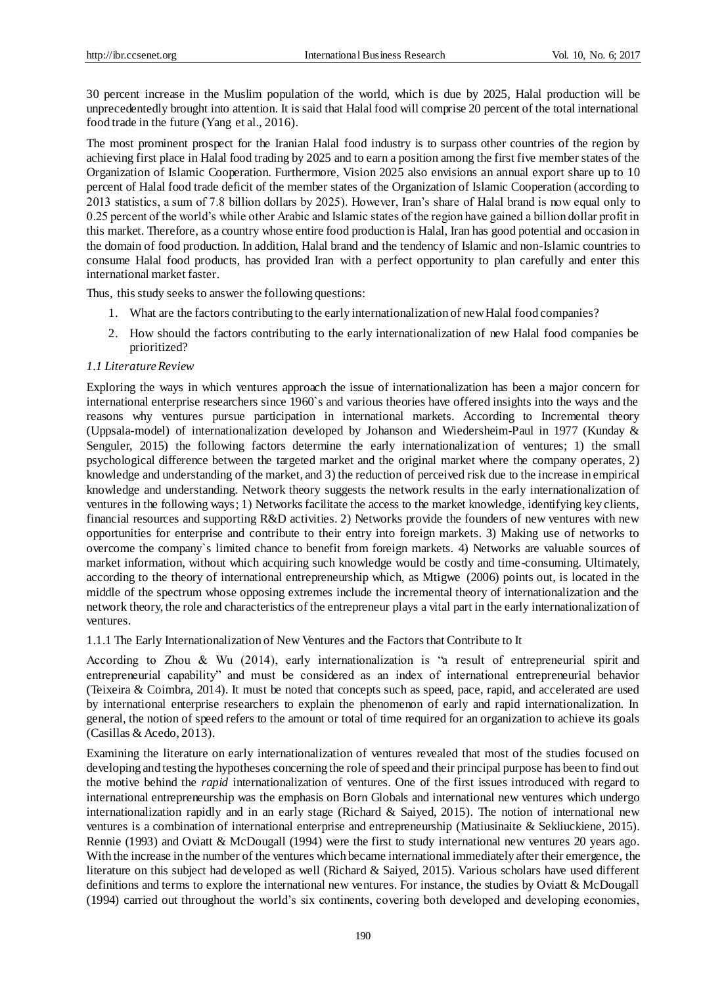30 percent increase in the Muslim population of the world, which is due by 2025, Halal production will be unprecedentedly brought into attention. It is said that Halal food will comprise 20 percent of the total international food trade in the future (Yang et al., 2016).

The most prominent prospect for the Iranian Halal food industry is to surpass other countries of the region by achieving first place in Halal food trading by 2025 and to earn a position among the first five member states of the Organization of Islamic Cooperation. Furthermore, Vision 2025 also envisions an annual export share up to 10 percent of Halal food trade deficit of the member states of the Organization of Islamic Cooperation (according to 2013 statistics, a sum of 7.8 billion dollars by 2025). However, Iran's share of Halal brand is now equal only to 0.25 percent of the world's while other Arabic and Islamic states of the region have gained a billion dollar profit in this market. Therefore, as a country whose entire food production is Halal, Iran has good potential and occasion in the domain of food production. In addition, Halal brand and the tendency of Islamic and non-Islamic countries to consume Halal food products, has provided Iran with a perfect opportunity to plan carefully and enter this international market faster.

Thus, this study seeks to answer the following questions:

- 1. What are the factors contributing to the early internationalization of new Halal food companies?
- 2. How should the factors contributing to the early internationalization of new Halal food companies be prioritized?

## *1.1 Literature Review*

Exploring the ways in which ventures approach the issue of internationalization has been a major concern for international enterprise researchers since 1960`s and various theories have offered insights into the ways and the reasons why ventures pursue participation in international markets. According to Incremental theory (Uppsala-model) of internationalization developed by Johanson and Wiedersheim-Paul in 1977 (Kunday & Senguler, 2015) the following factors determine the early internationalization of ventures; 1) the small psychological difference between the targeted market and the original market where the company operates, 2) knowledge and understanding of the market, and 3) the reduction of perceived risk due to the increase in empirical knowledge and understanding. Network theory suggests the network results in the early internationalization of ventures in the following ways; 1) Networks facilitate the access to the market knowledge, identifying key clients, financial resources and supporting R&D activities. 2) Networks provide the founders of new ventures with new opportunities for enterprise and contribute to their entry into foreign markets. 3) Making use of networks to overcome the company`s limited chance to benefit from foreign markets. 4) Networks are valuable sources of market information, without which acquiring such knowledge would be costly and time-consuming. Ultimately, according to the theory of international entrepreneurship which, as Mtigwe (2006) points out, is located in the middle of the spectrum whose opposing extremes include the incremental theory of internationalization and the network theory, the role and characteristics of the entrepreneur plays a vital part in the early internationalization of ventures.

1.1.1 The Early Internationalization of New Ventures and the Factors that Contribute to It

According to Zhou & Wu (2014), early internationalization is "a result of entrepreneurial spirit and entrepreneurial capability" and must be considered as an index of international entrepreneurial behavior (Teixeira & Coimbra, 2014). It must be noted that concepts such as speed, pace, rapid, and accelerated are used by international enterprise researchers to explain the phenomenon of early and rapid internationalization. In general, the notion of speed refers to the amount or total of time required for an organization to achieve its goals (Casillas & Acedo, 2013).

Examining the literature on early internationalization of ventures revealed that most of the studies focused on developing and testing the hypotheses concerning the role of speed and their principal purpose has been to find out the motive behind the *rapid* internationalization of ventures. One of the first issues introduced with regard to international entrepreneurship was the emphasis on Born Globals and international new ventures which undergo internationalization rapidly and in an early stage (Richard & Saiyed, 2015). The notion of international new ventures is a combination of international enterprise and entrepreneurship (Matiusinaite & Sekliuckiene, 2015). Rennie (1993) and Oviatt & McDougall (1994) were the first to study international new ventures 20 years ago. With the increase in the number of the ventures which became international immediately after their emergence, the literature on this subject had developed as well (Richard & Saiyed, 2015). Various scholars have used different definitions and terms to explore the international new ventures. For instance, the studies by Oviatt & McDougall (1994) carried out throughout the world's six continents, covering both developed and developing economies,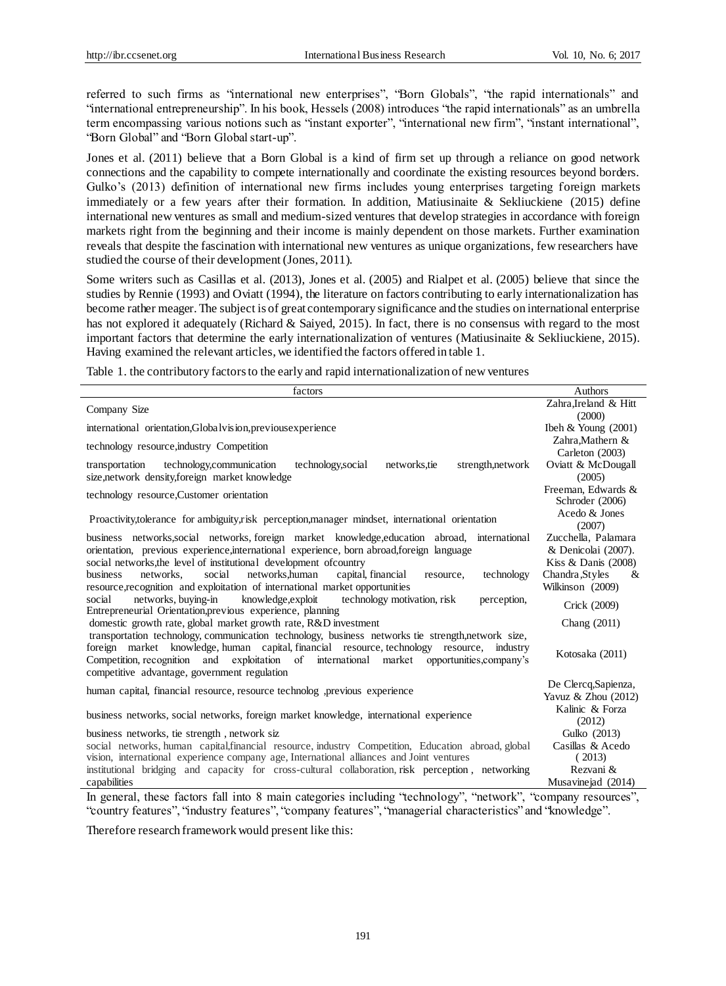referred to such firms as "international new enterprises", "Born Globals", "the rapid internationals" and "international entrepreneurship". In his book, Hessels (2008) introduces "the rapid internationals" as an umbrella term encompassing various notions such as "instant exporter", "international new firm", "instant international", "Born Global" and "Born Global start-up".

Jones et al. (2011) believe that a Born Global is a kind of firm set up through a reliance on good network connections and the capability to compete internationally and coordinate the existing resources beyond borders. Gulko's (2013) definition of international new firms includes young enterprises targeting foreign markets immediately or a few years after their formation. In addition, Matiusinaite & Sekliuckiene (2015) define international new ventures as small and medium-sized ventures that develop strategies in accordance with foreign markets right from the beginning and their income is mainly dependent on those markets. Further examination reveals that despite the fascination with international new ventures as unique organizations, few researchers have studied the course of their development (Jones, 2011).

Some writers such as Casillas et al. (2013), Jones et al. (2005) and Rialpet et al. (2005) believe that since the studies by Rennie (1993) and Oviatt (1994), the literature on factors contributing to early internationalization has become rather meager. The subject is of great contemporary significance and the studies on international enterprise has not explored it adequately (Richard & Saiyed, 2015). In fact, there is no consensus with regard to the most important factors that determine the early internationalization of ventures (Matiusinaite & Sekliuckiene, 2015). Having examined the relevant articles, we identified the factors offered in table 1.

Table 1. the contributory factors to the early and rapid internationalization of new ventures

| Zahra, Ireland & Hitt<br>Company Size<br>(2000)<br>international orientation, Globalvision, previous experience<br>Ibeh & Young $(2001)$<br>Zahra, Mathern &<br>technology resource, industry Competition<br>Carleton (2003)<br>technology, communication<br>technology, social<br>strength, network<br>Oviatt & McDougall<br>networks, tie<br>transportation<br>size, network density, foreign market knowledge<br>(2005)<br>Freeman, Edwards &<br>technology resource, Customer orientation<br>Schroder (2006)<br>Acedo & Jones<br>Proactivity, tolerance for ambiguity, risk perception, manager mindset, international orientation<br>(2007)<br>business networks, social networks, foreign market knowledge, education abroad, international<br>Zucchella, Palamara<br>orientation, previous experience, international experience, born abroad, foreign language<br>& Denicolai (2007).<br>social networks, the level of institutional development of country<br>Kiss & Danis $(2008)$<br>networks, human<br>capital, financial<br>business<br>networks.<br>social<br>technology<br>Chandra, Styles<br>&<br>resource,<br>resource, recognition and exploitation of international market opportunities<br>Wilkinson (2009)<br>networks, buying-in<br>social<br>knowledge, exploit<br>technology motivation, risk<br>perception,<br>Crick (2009)<br>Entrepreneurial Orientation, previous experience, planning<br>domestic growth rate, global market growth rate, R&D investment<br>Chang (2011)<br>transportation technology, communication technology, business networks tie strength, network size,<br>foreign market knowledge, human capital, financial resource, technology resource, industry<br>Kotosaka (2011)<br>Competition, recognition and exploitation of international market opportunities, company's |
|---------------------------------------------------------------------------------------------------------------------------------------------------------------------------------------------------------------------------------------------------------------------------------------------------------------------------------------------------------------------------------------------------------------------------------------------------------------------------------------------------------------------------------------------------------------------------------------------------------------------------------------------------------------------------------------------------------------------------------------------------------------------------------------------------------------------------------------------------------------------------------------------------------------------------------------------------------------------------------------------------------------------------------------------------------------------------------------------------------------------------------------------------------------------------------------------------------------------------------------------------------------------------------------------------------------------------------------------------------------------------------------------------------------------------------------------------------------------------------------------------------------------------------------------------------------------------------------------------------------------------------------------------------------------------------------------------------------------------------------------------------------------------------------------------------------------------|
|                                                                                                                                                                                                                                                                                                                                                                                                                                                                                                                                                                                                                                                                                                                                                                                                                                                                                                                                                                                                                                                                                                                                                                                                                                                                                                                                                                                                                                                                                                                                                                                                                                                                                                                                                                                                                           |
|                                                                                                                                                                                                                                                                                                                                                                                                                                                                                                                                                                                                                                                                                                                                                                                                                                                                                                                                                                                                                                                                                                                                                                                                                                                                                                                                                                                                                                                                                                                                                                                                                                                                                                                                                                                                                           |
|                                                                                                                                                                                                                                                                                                                                                                                                                                                                                                                                                                                                                                                                                                                                                                                                                                                                                                                                                                                                                                                                                                                                                                                                                                                                                                                                                                                                                                                                                                                                                                                                                                                                                                                                                                                                                           |
|                                                                                                                                                                                                                                                                                                                                                                                                                                                                                                                                                                                                                                                                                                                                                                                                                                                                                                                                                                                                                                                                                                                                                                                                                                                                                                                                                                                                                                                                                                                                                                                                                                                                                                                                                                                                                           |
|                                                                                                                                                                                                                                                                                                                                                                                                                                                                                                                                                                                                                                                                                                                                                                                                                                                                                                                                                                                                                                                                                                                                                                                                                                                                                                                                                                                                                                                                                                                                                                                                                                                                                                                                                                                                                           |
|                                                                                                                                                                                                                                                                                                                                                                                                                                                                                                                                                                                                                                                                                                                                                                                                                                                                                                                                                                                                                                                                                                                                                                                                                                                                                                                                                                                                                                                                                                                                                                                                                                                                                                                                                                                                                           |
|                                                                                                                                                                                                                                                                                                                                                                                                                                                                                                                                                                                                                                                                                                                                                                                                                                                                                                                                                                                                                                                                                                                                                                                                                                                                                                                                                                                                                                                                                                                                                                                                                                                                                                                                                                                                                           |
|                                                                                                                                                                                                                                                                                                                                                                                                                                                                                                                                                                                                                                                                                                                                                                                                                                                                                                                                                                                                                                                                                                                                                                                                                                                                                                                                                                                                                                                                                                                                                                                                                                                                                                                                                                                                                           |
|                                                                                                                                                                                                                                                                                                                                                                                                                                                                                                                                                                                                                                                                                                                                                                                                                                                                                                                                                                                                                                                                                                                                                                                                                                                                                                                                                                                                                                                                                                                                                                                                                                                                                                                                                                                                                           |
| competitive advantage, government regulation                                                                                                                                                                                                                                                                                                                                                                                                                                                                                                                                                                                                                                                                                                                                                                                                                                                                                                                                                                                                                                                                                                                                                                                                                                                                                                                                                                                                                                                                                                                                                                                                                                                                                                                                                                              |
| De Clercq, Sapienza,<br>human capital, financial resource, resource technolog , previous experience<br>Yavuz & Zhou (2012)                                                                                                                                                                                                                                                                                                                                                                                                                                                                                                                                                                                                                                                                                                                                                                                                                                                                                                                                                                                                                                                                                                                                                                                                                                                                                                                                                                                                                                                                                                                                                                                                                                                                                                |
| Kalinic & Forza<br>business networks, social networks, foreign market knowledge, international experience<br>(2012)                                                                                                                                                                                                                                                                                                                                                                                                                                                                                                                                                                                                                                                                                                                                                                                                                                                                                                                                                                                                                                                                                                                                                                                                                                                                                                                                                                                                                                                                                                                                                                                                                                                                                                       |
| Gulko (2013)<br>business networks, tie strength, network siz                                                                                                                                                                                                                                                                                                                                                                                                                                                                                                                                                                                                                                                                                                                                                                                                                                                                                                                                                                                                                                                                                                                                                                                                                                                                                                                                                                                                                                                                                                                                                                                                                                                                                                                                                              |
| social networks, human capital, financial resource, industry Competition, Education abroad, global<br>Casillas & Acedo                                                                                                                                                                                                                                                                                                                                                                                                                                                                                                                                                                                                                                                                                                                                                                                                                                                                                                                                                                                                                                                                                                                                                                                                                                                                                                                                                                                                                                                                                                                                                                                                                                                                                                    |
| vision, international experience company age, International alliances and Joint ventures<br>(2013)                                                                                                                                                                                                                                                                                                                                                                                                                                                                                                                                                                                                                                                                                                                                                                                                                                                                                                                                                                                                                                                                                                                                                                                                                                                                                                                                                                                                                                                                                                                                                                                                                                                                                                                        |
| institutional bridging and capacity for cross-cultural collaboration, risk perception, networking<br>Rezvani &                                                                                                                                                                                                                                                                                                                                                                                                                                                                                                                                                                                                                                                                                                                                                                                                                                                                                                                                                                                                                                                                                                                                                                                                                                                                                                                                                                                                                                                                                                                                                                                                                                                                                                            |
| Musavinejad (2014)<br>capabilities<br>In general these factors fall into 8 main categories including "technology" "network" "company resources"                                                                                                                                                                                                                                                                                                                                                                                                                                                                                                                                                                                                                                                                                                                                                                                                                                                                                                                                                                                                                                                                                                                                                                                                                                                                                                                                                                                                                                                                                                                                                                                                                                                                           |

actors fall into 8 main categories including "technology", "network", "company resources", "country features", "industry features", "company features", "managerial characteristics" and "knowledge".

Therefore research framework would present like this: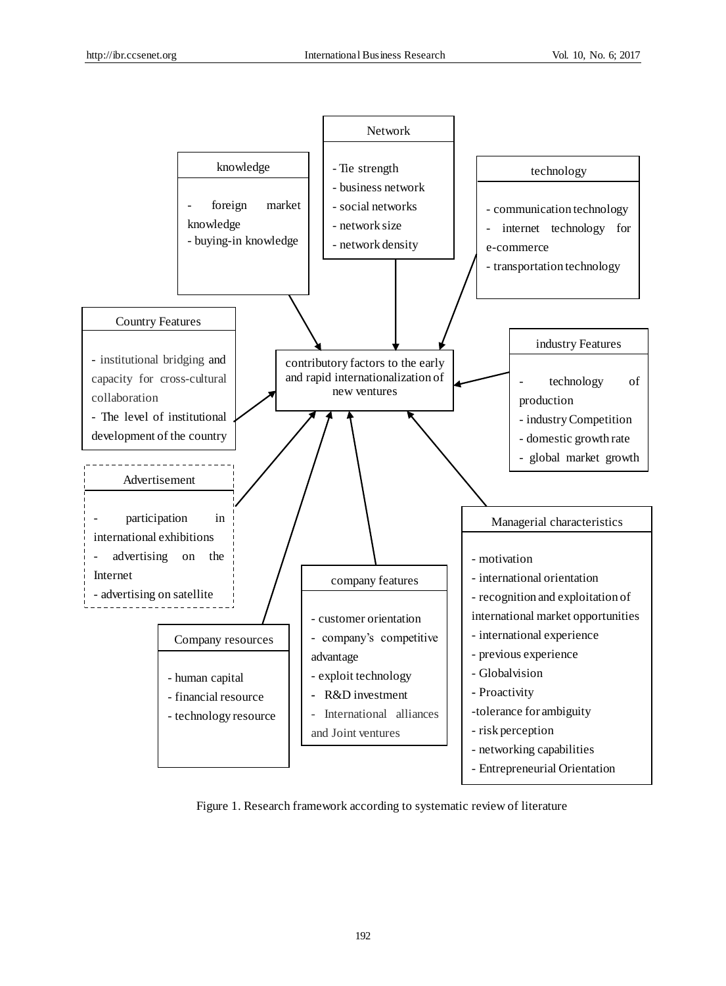

Figure 1. Research framework according to systematic review of literature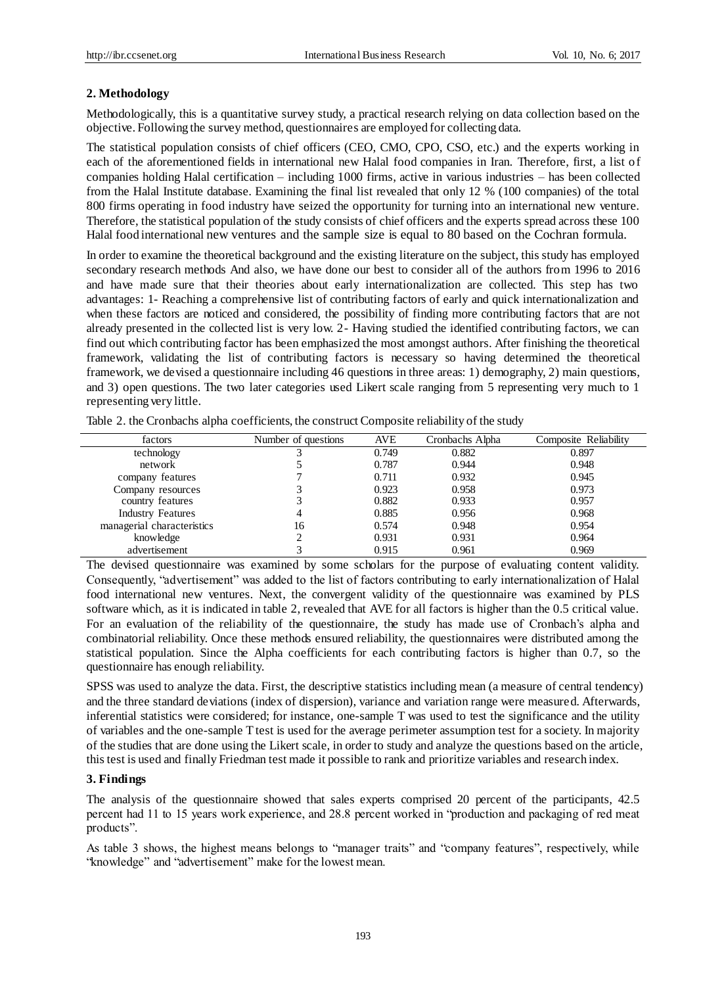## **2. Methodology**

Methodologically, this is a quantitative survey study, a practical research relying on data collection based on the objective. Following the survey method, questionnaires are employed for collecting data.

The statistical population consists of chief officers (CEO, CMO, CPO, CSO, etc.) and the experts working in each of the aforementioned fields in international new Halal food companies in Iran. Therefore, first, a list of companies holding Halal certification – including 1000 firms, active in various industries – has been collected from the Halal Institute database. Examining the final list revealed that only 12 % (100 companies) of the total 800 firms operating in food industry have seized the opportunity for turning into an international new venture. Therefore, the statistical population of the study consists of chief officers and the experts spread across these 100 Halal food international new ventures and the sample size is equal to 80 based on the Cochran formula.

In order to examine the theoretical background and the existing literature on the subject, this study has employed secondary research methods And also, we have done our best to consider all of the authors from 1996 to 2016 and have made sure that their theories about early internationalization are collected. This step has two advantages: 1- Reaching a comprehensive list of contributing factors of early and quick internationalization and when these factors are noticed and considered, the possibility of finding more contributing factors that are not already presented in the collected list is very low. 2- Having studied the identified contributing factors, we can find out which contributing factor has been emphasized the most amongst authors. After finishing the theoretical framework, validating the list of contributing factors is necessary so having determined the theoretical framework, we devised a questionnaire including 46 questions in three areas: 1) demography, 2) main questions, and 3) open questions. The two later categories used Likert scale ranging from 5 representing very much to 1 representing very little.

| factors                    | Number of questions | <b>AVE</b> | Cronbachs Alpha | Composite Reliability |
|----------------------------|---------------------|------------|-----------------|-----------------------|
| technology                 |                     | 0.749      | 0.882           | 0.897                 |
| network                    |                     | 0.787      | 0.944           | 0.948                 |
| company features           |                     | 0.711      | 0.932           | 0.945                 |
| Company resources          |                     | 0.923      | 0.958           | 0.973                 |
| country features           | 2                   | 0.882      | 0.933           | 0.957                 |
| <b>Industry Features</b>   | 4                   | 0.885      | 0.956           | 0.968                 |
| managerial characteristics | 16                  | 0.574      | 0.948           | 0.954                 |
| knowledge                  | ◠                   | 0.931      | 0.931           | 0.964                 |
| advertisement              | 2                   | 0.915      | 0.961           | 0.969                 |

Table 2. the Cronbachs alpha coefficients, the construct Composite reliability of the study

The devised questionnaire was examined by some scholars for the purpose of evaluating content validity. Consequently, "advertisement" was added to the list of factors contributing to early internationalization of Halal food international new ventures. Next, the convergent validity of the questionnaire was examined by PLS software which, as it is indicated in table 2, revealed that AVE for all factors is higher than the 0.5 critical value. For an evaluation of the reliability of the questionnaire, the study has made use of Cronbach's alpha and combinatorial reliability. Once these methods ensured reliability, the questionnaires were distributed among the statistical population. Since the Alpha coefficients for each contributing factors is higher than 0.7, so the questionnaire has enough reliability.

SPSS was used to analyze the data. First, the descriptive statistics including mean (a measure of central tendency) and the three standard deviations (index of dispersion), variance and variation range were measured. Afterwards, inferential statistics were considered; for instance, one-sample T was used to test the significance and the utility of variables and the one-sample T test is used for the average perimeter assumption test for a society. In majority of the studies that are done using the Likert scale, in order to study and analyze the questions based on the article, this test is used and finally Friedman test made it possible to rank and prioritize variables and research index.

# **3. Findings**

The analysis of the questionnaire showed that sales experts comprised 20 percent of the participants, 42.5 percent had 11 to 15 years work experience, and 28.8 percent worked in "production and packaging of red meat products".

As table 3 shows, the highest means belongs to "manager traits" and "company features", respectively, while "knowledge" and "advertisement" make for the lowest mean.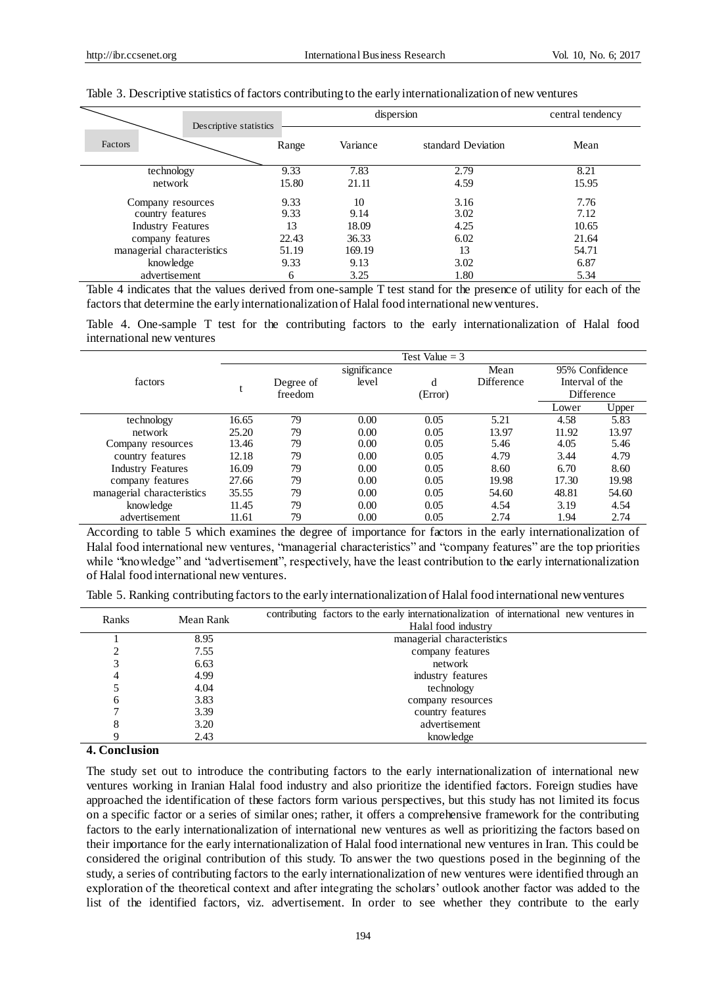|                            |                                 | dispersion |                    |       |  |  |
|----------------------------|---------------------------------|------------|--------------------|-------|--|--|
| Factors                    | Descriptive statistics<br>Range | Variance   | standard Deviation | Mean  |  |  |
| technology                 | 9.33                            | 7.83       | 2.79               | 8.21  |  |  |
| network                    | 15.80                           | 21.11      | 4.59               | 15.95 |  |  |
| Company resources          | 9.33                            | 10         | 3.16               | 7.76  |  |  |
| country features           | 9.33                            | 9.14       | 3.02               | 7.12  |  |  |
| <b>Industry Features</b>   | 13                              | 18.09      | 4.25               | 10.65 |  |  |
| company features           | 22.43                           | 36.33      | 6.02               | 21.64 |  |  |
| managerial characteristics | 51.19                           | 169.19     | 13                 | 54.71 |  |  |
| knowledge                  | 9.33                            | 9.13       | 3.02               | 6.87  |  |  |
| advertisement              | 6                               | 3.25       | 1.80               | 5.34  |  |  |

#### Table 3. Descriptive statistics of factors contributing to the early internationalization of new ventures

Table 4 indicates that the values derived from one-sample T test stand for the presence of utility for each of the factors that determine the early internationalization of Halal food international new ventures.

Table 4. One-sample T test for the contributing factors to the early internationalization of Halal food international new ventures

|                            | Test Value $=$ 3 |                    |              |      |            |                                   |       |  |  |  |  |
|----------------------------|------------------|--------------------|--------------|------|------------|-----------------------------------|-------|--|--|--|--|
|                            |                  |                    | significance |      | Mean       | 95% Confidence<br>Interval of the |       |  |  |  |  |
| factors                    |                  | Degree of          | level        | d    | Difference |                                   |       |  |  |  |  |
|                            |                  | freedom<br>(Error) |              |      |            | Difference                        |       |  |  |  |  |
|                            |                  |                    |              |      |            | Lower                             | Upper |  |  |  |  |
| technology                 | 16.65            | 79                 | 0.00         | 0.05 | 5.21       | 4.58                              | 5.83  |  |  |  |  |
| network                    | 25.20            | 79                 | 0.00         | 0.05 | 13.97      | 11.92                             | 13.97 |  |  |  |  |
| Company resources          | 13.46            | 79                 | 0.00         | 0.05 | 5.46       | 4.05                              | 5.46  |  |  |  |  |
| country features           | 12.18            | 79                 | 0.00         | 0.05 | 4.79       | 3.44                              | 4.79  |  |  |  |  |
| <b>Industry Features</b>   | 16.09            | 79                 | 0.00         | 0.05 | 8.60       | 6.70                              | 8.60  |  |  |  |  |
| company features           | 27.66            | 79                 | 0.00         | 0.05 | 19.98      | 17.30                             | 19.98 |  |  |  |  |
| managerial characteristics | 35.55            | 79                 | 0.00         | 0.05 | 54.60      | 48.81                             | 54.60 |  |  |  |  |
| knowledge                  | 11.45            | 79                 | 0.00         | 0.05 | 4.54       | 3.19                              | 4.54  |  |  |  |  |
| advertisement              | 11.61            | 79                 | 0.00         | 0.05 | 2.74       | 1.94                              | 2.74  |  |  |  |  |

According to table 5 which examines the degree of importance for factors in the early internationalization of Halal food international new ventures, "managerial characteristics" and "company features" are the top priorities while "knowledge" and "advertisement", respectively, have the least contribution to the early internationalization of Halal food international new ventures.

Table 5. Ranking contributing factors to the early internationalization of Halal food international new ventures

| Ranks | Mean Rank | contributing factors to the early internationalization of international new ventures in |
|-------|-----------|-----------------------------------------------------------------------------------------|
|       |           | Halal food industry                                                                     |
|       | 8.95      | managerial characteristics                                                              |
|       | 7.55      | company features                                                                        |
|       | 6.63      | network                                                                                 |
| 4     | 4.99      | industry features                                                                       |
|       | 4.04      | technology                                                                              |
| 6     | 3.83      | company resources                                                                       |
|       | 3.39      | country features                                                                        |
| 8     | 3.20      | advertisement                                                                           |
|       | 2.43      | knowledge                                                                               |

# **4. Conclusion**

The study set out to introduce the contributing factors to the early internationalization of international new ventures working in Iranian Halal food industry and also prioritize the identified factors. Foreign studies have approached the identification of these factors form various perspectives, but this study has not limited its focus on a specific factor or a series of similar ones; rather, it offers a comprehensive framework for the contributing factors to the early internationalization of international new ventures as well as prioritizing the factors based on their importance for the early internationalization of Halal food international new ventures in Iran. This could be considered the original contribution of this study. To answer the two questions posed in the beginning of the study, a series of contributing factors to the early internationalization of new ventures were identified through an exploration of the theoretical context and after integrating the scholars' outlook another factor was added to the list of the identified factors, viz. advertisement. In order to see whether they contribute to the early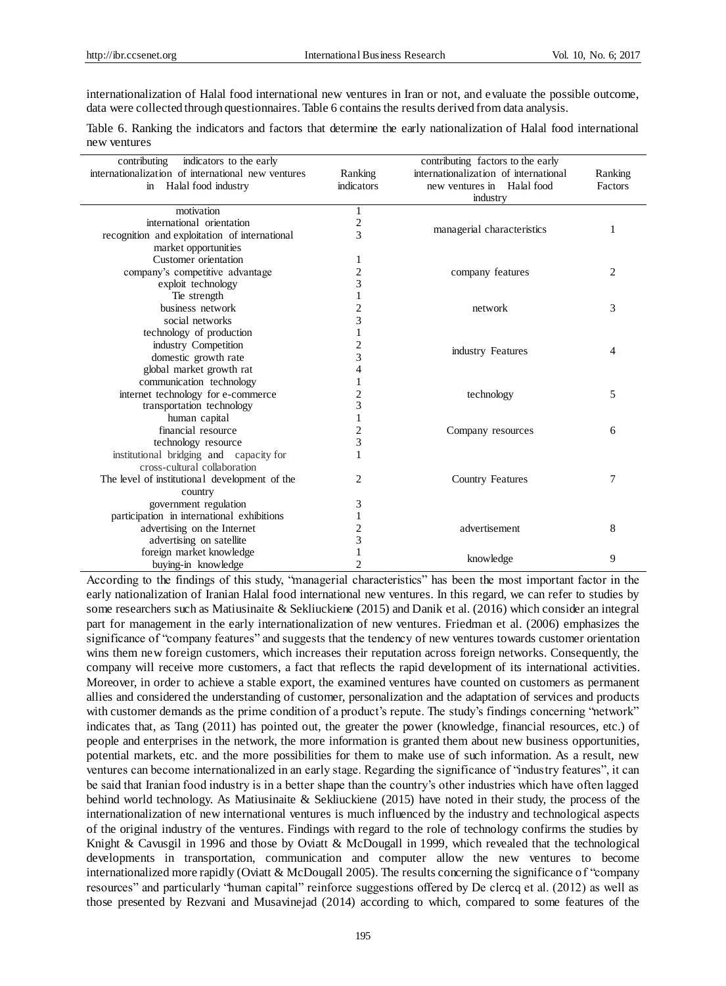internationalization of Halal food international new ventures in Iran or not, and evaluate the possible outcome, data were collected through questionnaires. Table 6 contains the results derived from data analysis.

| Table 6. Ranking the indicators and factors that determine the early nationalization of Halal food international |  |  |  |  |  |
|------------------------------------------------------------------------------------------------------------------|--|--|--|--|--|
| new ventures                                                                                                     |  |  |  |  |  |

| contributing<br>indicators to the early            |                         | contributing factors to the early     |         |
|----------------------------------------------------|-------------------------|---------------------------------------|---------|
| internationalization of international new ventures | Ranking                 | internationalization of international | Ranking |
| in Halal food industry                             | indicators              | new ventures in Halal food            | Factors |
|                                                    |                         | industry                              |         |
| motivation                                         | $\mathbf{1}$            |                                       |         |
| international orientation                          | $\overline{c}$          | managerial characteristics            | 1       |
| recognition and exploitation of international      | 3                       |                                       |         |
| market opportunities                               |                         |                                       |         |
| Customer orientation                               | 1                       |                                       |         |
| company's competitive advantage                    | $\overline{c}$          | company features                      | 2       |
| exploit technology                                 | 3                       |                                       |         |
| Tie strength                                       |                         |                                       |         |
| business network                                   | $\overline{\mathbf{c}}$ | network                               | 3       |
| social networks                                    | 3                       |                                       |         |
| technology of production                           | $\mathbf{1}$            |                                       |         |
| industry Competition                               | $\overline{c}$          | industry Features                     | 4       |
| domestic growth rate                               | 3                       |                                       |         |
| global market growth rat                           | 4                       |                                       |         |
| communication technology                           | 1                       |                                       |         |
| internet technology for e-commerce                 | $\overline{c}$          | technology                            | 5       |
| transportation technology                          | 3                       |                                       |         |
| human capital                                      | 1                       |                                       |         |
| financial resource                                 | $\overline{\mathbf{c}}$ | Company resources                     | 6       |
| technology resource                                | 3                       |                                       |         |
| institutional bridging and capacity for            | 1                       |                                       |         |
| cross-cultural collaboration                       |                         |                                       |         |
| The level of institutional development of the      | 2                       | <b>Country Features</b>               | 7       |
| country                                            |                         |                                       |         |
| government regulation                              | 3                       |                                       |         |
| participation in international exhibitions         | $\mathbf{1}$            |                                       |         |
| advertising on the Internet                        | $\overline{c}$          | advertisement                         | 8       |
| advertising on satellite                           | 3                       |                                       |         |
| foreign market knowledge                           |                         |                                       | 9       |
| buying-in knowledge                                | $\overline{2}$          | knowledge                             |         |

According to the findings of this study, "managerial characteristics" has been the most important factor in the early nationalization of Iranian Halal food international new ventures. In this regard, we can refer to studies by some researchers such as Matiusinaite & Sekliuckiene (2015) and Danik et al. (2016) which consider an integral part for management in the early internationalization of new ventures. Friedman et al. (2006) emphasizes the significance of "company features" and suggests that the tendency of new ventures towards customer orientation wins them new foreign customers, which increases their reputation across foreign networks. Consequently, the company will receive more customers, a fact that reflects the rapid development of its international activities. Moreover, in order to achieve a stable export, the examined ventures have counted on customers as permanent allies and considered the understanding of customer, personalization and the adaptation of services and products with customer demands as the prime condition of a product's repute. The study's findings concerning "network" indicates that, as Tang (2011) has pointed out, the greater the power (knowledge, financial resources, etc.) of people and enterprises in the network, the more information is granted them about new business opportunities, potential markets, etc. and the more possibilities for them to make use of such information. As a result, new ventures can become internationalized in an early stage. Regarding the significance of "industry features", it can be said that Iranian food industry is in a better shape than the country's other industries which have often lagged behind world technology. As Matiusinaite & Sekliuckiene (2015) have noted in their study, the process of the internationalization of new international ventures is much influenced by the industry and technological aspects of the original industry of the ventures. Findings with regard to the role of technology confirms the studies by Knight & Cavusgil in 1996 and those by Oviatt & McDougall in 1999, which revealed that the technological developments in transportation, communication and computer allow the new ventures to become internationalized more rapidly (Oviatt & McDougall 2005). The results concerning the significance of "company resources" and particularly "human capital" reinforce suggestions offered by De clercq et al. (2012) as well as those presented by Rezvani and Musavinejad (2014) according to which, compared to some features of the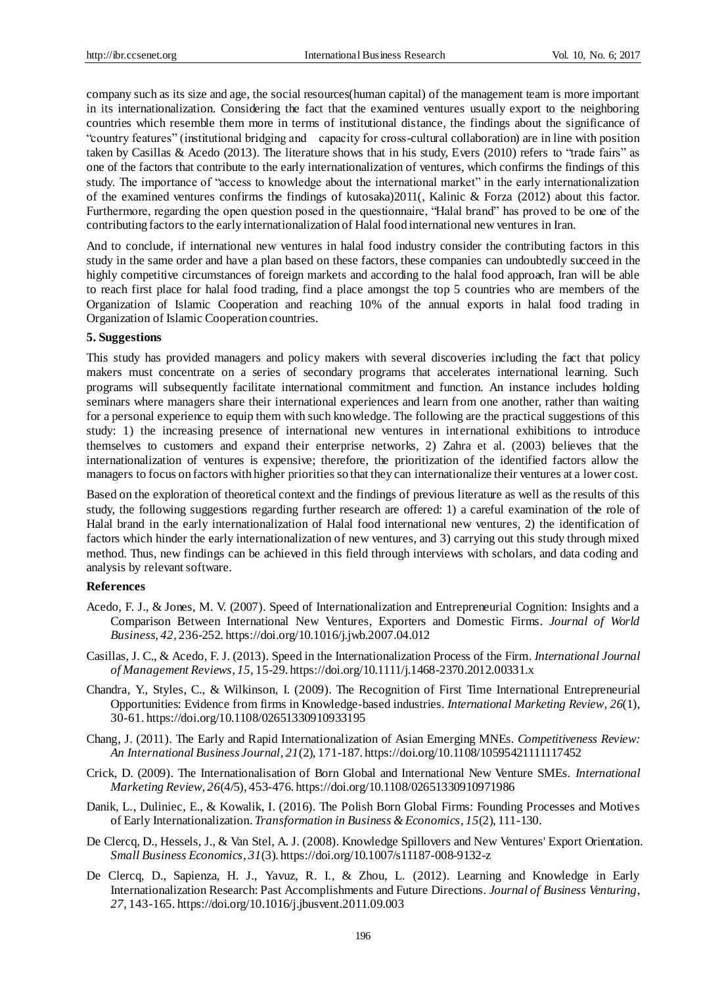company such as its size and age, the social resources(human capital) of the management team is more important in its internationalization. Considering the fact that the examined ventures usually export to the neighboring countries which resemble them more in terms of institutional distance, the findings about the significance of "country features" (institutional bridging and capacity for cross-cultural collaboration) are in line with position taken by Casillas & Acedo (2013). The literature shows that in his study, Evers (2010) refers to "trade fairs" as one of the factors that contribute to the early internationalization of ventures, which confirms the findings of this study. The importance of "access to knowledge about the international market" in the early internationalization of the examined ventures confirms the findings of kutosaka)2011(, Kalinic & Forza (2012) about this factor. Furthermore, regarding the open question posed in the questionnaire, "Halal brand" has proved to be one of the contributing factors to the early internationalization of Halal food international new ventures in Iran.

And to conclude, if international new ventures in halal food industry consider the contributing factors in this study in the same order and have a plan based on these factors, these companies can undoubtedly succeed in the highly competitive circumstances of foreign markets and according to the halal food approach, Iran will be able to reach first place for halal food trading, find a place amongst the top 5 countries who are members of the Organization of Islamic Cooperation and reaching 10% of the annual exports in halal food trading in Organization of Islamic Cooperation countries.

## **5. Suggestions**

This study has provided managers and policy makers with several discoveries including the fact that policy makers must concentrate on a series of secondary programs that accelerates international learning. Such programs will subsequently facilitate international commitment and function. An instance includes holding seminars where managers share their international experiences and learn from one another, rather than waiting for a personal experience to equip them with such knowledge. The following are the practical suggestions of this study: 1) the increasing presence of international new ventures in international exhibitions to introduce themselves to customers and expand their enterprise networks, 2) Zahra et al. (2003) believes that the internationalization of ventures is expensive; therefore, the prioritization of the identified factors allow the managers to focus on factors with higher priorities so that they can internationalize their ventures at a lower cost.

Based on the exploration of theoretical context and the findings of previous literature as well as the results of this study, the following suggestions regarding further research are offered: 1) a careful examination of the role of Halal brand in the early internationalization of Halal food international new ventures, 2) the identification of factors which hinder the early internationalization of new ventures, and 3) carrying out this study through mixed method. Thus, new findings can be achieved in this field through interviews with scholars, and data coding and analysis by relevant software.

### **References**

- Acedo, F. J., & Jones, M. V. (2007). Speed of Internationalization and Entrepreneurial Cognition: Insights and a Comparison Between International New Ventures, Exporters and Domestic Firms. *Journal of World Business, 42,* 236-252. https://doi.org/10.1016/j.jwb.2007.04.012
- Casillas, J. C., & Acedo, F. J. (2013). Speed in the Internationalization Process of the Firm. *International Journal of Management Reviews, 15,* 15-29. https://doi.org/10.1111/j.1468-2370.2012.00331.x
- Chandra, Y., Styles, C., & Wilkinson, I. (2009). The Recognition of First Time International Entrepreneurial Opportunities: Evidence from firms in Knowledge-based industries. *International Marketing Review, 26*(1), 30-61. https://doi.org/10.1108/02651330910933195
- Chang, J. (2011). The Early and Rapid Internationalization of Asian Emerging MNEs*. Competitiveness Review: An International Business Journal*, *21*(2), 171-187. https://doi.org/10.1108/10595421111117452
- Crick, D. (2009). The Internationalisation of Born Global and International New Venture SMEs. *International Marketing Review, 26*(4/5), 453-476. https://doi.org/10.1108/02651330910971986
- Danik, L., Duliniec, E., & Kowalik, I. (2016). The Polish Born Global Firms: Founding Processes and Motives of Early Internationalization. *Transformation in Business & Economics, 15*(2), 111-130.
- De Clercq, D., Hessels, J., & Van Stel, A. J. (2008). Knowledge Spillovers and New Ventures' Export Orientation. *Small Business Economics*, *31*(3). https://doi.org/10.1007/s11187-008-9132-z
- De Clercq, D., Sapienza, H. J., Yavuz, R. I., & Zhou, L. (2012). Learning and Knowledge in Early Internationalization Research: Past Accomplishments and Future Directions. *Journal of Business Venturing*, *27,* 143-165. https://doi.org/10.1016/j.jbusvent.2011.09.003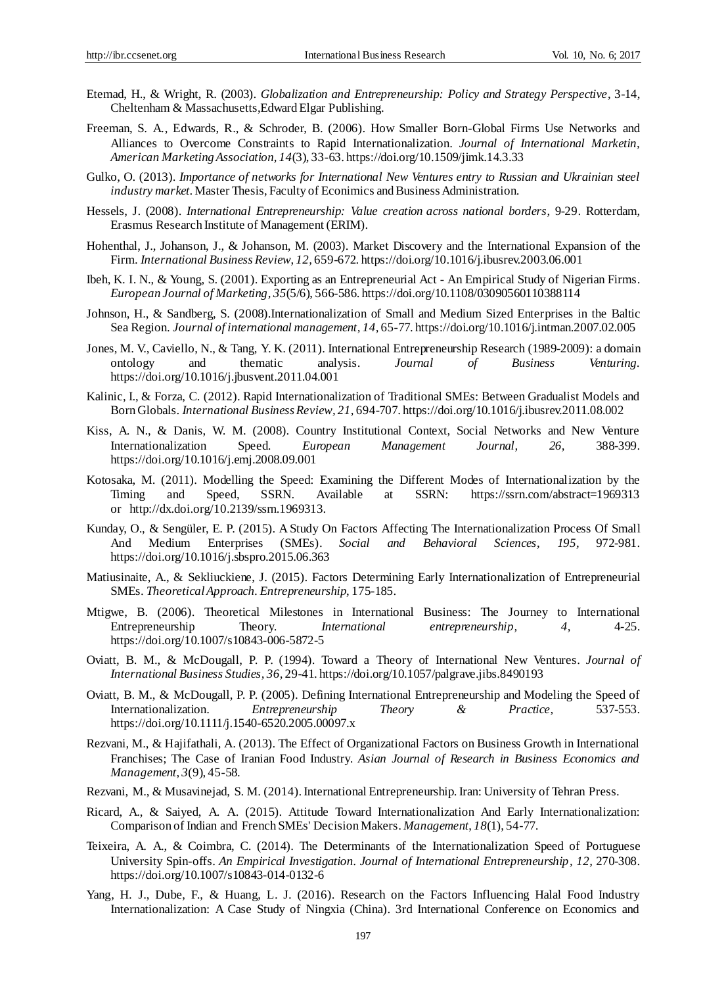- Etemad, H., & Wright, R. (2003). *Globalization and Entrepreneurship: Policy and Strategy Perspective*, 3-14, Cheltenham & Massachusetts,Edward Elgar Publishing.
- Freeman, S. A., Edwards, R., & Schroder, B. (2006). How Smaller Born-Global Firms Use Networks and Alliances to Overcome Constraints to Rapid Internationalization. *Journal of International Marketin, American Marketing Association, 14*(3), 33-63. https://doi.org/10.1509/jimk.14.3.33
- Gulko, O. (2013). *Importance of networks for International New Ventures entry to Russian and Ukrainian steel industry market*. Master Thesis, Faculty of Econimics and Business Administration.
- [Hessels,](http://www.sciencedirect.com/science/article/pii/S0969593111001429) J. (2008). *International Entrepreneurship: Value creation [across national borders](http://repub.eur.nl/pub/13942/)*, 9-29. [Rotterdam,](http://www.sciencedirect.com/science/journal/09695931) [Erasmus](http://www.sciencedirect.com/science/journal/09695931) Research Institute of Management (ERIM).
- Hohenthal, J., Johanson, J., & Johanson, M. (2003). Market Discovery and the International Expansion of the Firm. *International Business Review*, *12,* 659-672. https://doi.org/10.1016/j.ibusrev.2003.06.001
- [Ibeh,](http://www.emeraldinsight.com/author/Ibeh%2C+Kevin+IN) K. I. N., & [Young,](http://www.emeraldinsight.com/author/Young%2C+Stephen) S. (2001). Exporting as an Entrepreneurial Act An Empirical Study of Nigerian Firms. *European Journal of Marketing, 35*(5/6), 566-586. https://doi.org/10.1108/03090560110388114
- Johnson, H., & Sandberg, S. (2008).Internationalization of Small and Medium Sized Enterprises in the Baltic Sea Region. *Journal of international management, 14,* 65-77. https://doi.org/10.1016/j.intman.2007.02.005
- Jones, M. V., Caviello, N., & Tang, Y. K. (2011). International Entrepreneurship Research (1989-2009): a domain ontology and thematic analysis. Journal of Business Venturing. ontology and thematic analysis. *Journal of Business Venturing.* https://doi.org/10.1016/j.jbusvent.2011.04.001
- Kalinic, I., & Forza, C. (2012). Rapid Internationalization of Traditional SMEs: Between Gradualist Models and Born Globals. *International Business Review, 21,* 694-707. https://doi.org/10.1016/j.ibusrev.2011.08.002
- Kiss, A. N., & Danis, W. M. (2008). Country Institutional Context, Social Networks and New Venture Internationalization Speed. *European Management Journal, 26,* 388-399. https://doi.org/10.1016/j.emj.2008.09.001
- Kotosaka, M. (2011). Modelling the Speed: Examining the Different Modes of Internationalization by the Timing and Speed, SSRN. Available at SSRN: <https://ssrn.com/abstract=1969313> or [http://dx.doi.org/10.2139/ssrn.1969313.](http://dx.doi.org/10.2139/ssrn.1969313)
- Kunday, O., & Sengüler, E. P. (2015). A Study On Factors Affecting The Internationalization Process Of Small And Medium Enterprises (SMEs). *Social and Behavioral Sciences*, *195,* 972-981. https://doi.org/10.1016/j.sbspro.2015.06.363
- Matiusinaite, A., & Sekliuckiene, J. (2015). Factors Determining Early Internationalization of Entrepreneurial SMEs. *Theoretical Approach. Entrepreneurship*, 175-185.
- Mtigwe, B. (2006). Theoretical Milestones in International Business: The Journey to International Entrepreneurship Theory. *International entrepreneurship, 4,* 4-25. https://doi.org/10.1007/s10843-006-5872-5
- Oviatt, B. M., & McDougall, P. P. (1994). Toward a Theory of International New Ventures. *Journal of International Business Studies, 36,* 29-41. https://doi.org/10.1057/palgrave.jibs.8490193
- Oviatt, B. M., & McDougall, P. P. (2005). Defining International Entrepreneurship and Modeling the Speed of Internationalization. *Entrepreneurship Theory & Practice,* 537-553. https://doi.org/10.1111/j.1540-6520.2005.00097.x
- Rezvani, M., & Hajifathali, A. (2013). The Effect of Organizational Factors on Business Growth in International Franchises; The Case of Iranian Food Industry. *Asian Journal of Research in Business Economics and Management*, *3*(9), 45-58.
- Rezvani, M., & Musavinejad, S. M. (2014). International Entrepreneurship. Iran: University of Tehran Press.
- Ricard, A., & Saiyed, A. A. (2015). Attitude Toward Internationalization And Early Internationalization: Comparison of Indian and French SMEs' Decision Makers. *Management*, *18*(1), 54-77.
- Teixeira, A. A., & Coimbra, C. (2014). The Determinants of the Internationalization Speed of Portuguese University Spin-offs. *An Empirical Investigation. Journal of International Entrepreneurship, 12,* 270-308. https://doi.org/10.1007/s10843-014-0132-6
- Yang, H. J., Dube, F., & Huang, L. J. (2016). Research on the Factors Influencing Halal Food Industry Internationalization: A Case Study of Ningxia (China). 3rd International Conference on Economics and